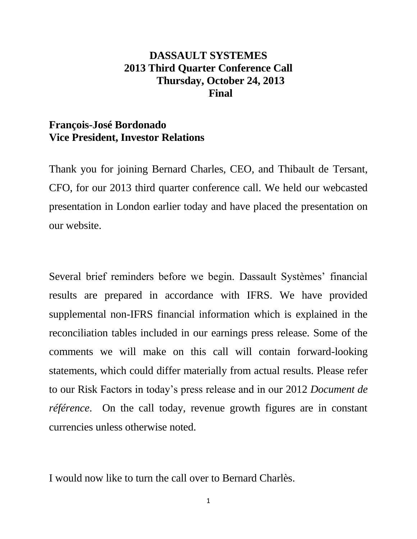# **DASSAULT SYSTEMES 2013 Third Quarter Conference Call Thursday, October 24, 2013 Final**

# **François-José Bordonado Vice President, Investor Relations**

Thank you for joining Bernard Charles, CEO, and Thibault de Tersant, CFO, for our 2013 third quarter conference call. We held our webcasted presentation in London earlier today and have placed the presentation on our website.

Several brief reminders before we begin. Dassault Systèmes' financial results are prepared in accordance with IFRS. We have provided supplemental non-IFRS financial information which is explained in the reconciliation tables included in our earnings press release. Some of the comments we will make on this call will contain forward-looking statements, which could differ materially from actual results. Please refer to our Risk Factors in today's press release and in our 2012 *Document de référence*. On the call today, revenue growth figures are in constant currencies unless otherwise noted.

I would now like to turn the call over to Bernard Charlès.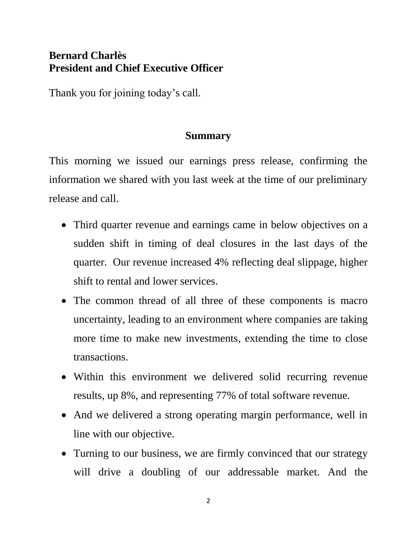# **Bernard Charlès President and Chief Executive Officer**

Thank you for joining today's call.

### **Summary**

This morning we issued our earnings press release, confirming the information we shared with you last week at the time of our preliminary release and call.

- Third quarter revenue and earnings came in below objectives on a sudden shift in timing of deal closures in the last days of the quarter. Our revenue increased 4% reflecting deal slippage, higher shift to rental and lower services.
- The common thread of all three of these components is macro uncertainty, leading to an environment where companies are taking more time to make new investments, extending the time to close transactions.
- Within this environment we delivered solid recurring revenue results, up 8%, and representing 77% of total software revenue.
- And we delivered a strong operating margin performance, well in line with our objective.
- Turning to our business, we are firmly convinced that our strategy will drive a doubling of our addressable market. And the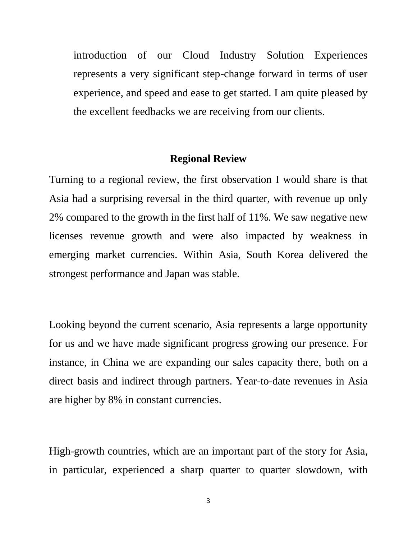introduction of our Cloud Industry Solution Experiences represents a very significant step-change forward in terms of user experience, and speed and ease to get started. I am quite pleased by the excellent feedbacks we are receiving from our clients.

#### **Regional Review**

Turning to a regional review, the first observation I would share is that Asia had a surprising reversal in the third quarter, with revenue up only 2% compared to the growth in the first half of 11%. We saw negative new licenses revenue growth and were also impacted by weakness in emerging market currencies. Within Asia, South Korea delivered the strongest performance and Japan was stable.

Looking beyond the current scenario, Asia represents a large opportunity for us and we have made significant progress growing our presence. For instance, in China we are expanding our sales capacity there, both on a direct basis and indirect through partners. Year-to-date revenues in Asia are higher by 8% in constant currencies.

High-growth countries, which are an important part of the story for Asia, in particular, experienced a sharp quarter to quarter slowdown, with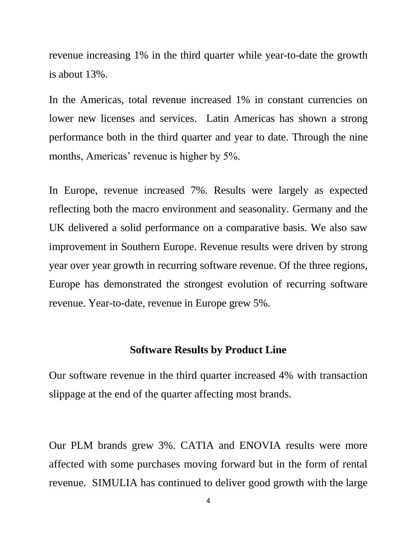revenue increasing 1% in the third quarter while year-to-date the growth is about 13%.

In the Americas, total revenue increased 1% in constant currencies on lower new licenses and services. Latin Americas has shown a strong performance both in the third quarter and year to date. Through the nine months, Americas' revenue is higher by 5%.

In Europe, revenue increased 7%. Results were largely as expected reflecting both the macro environment and seasonality. Germany and the UK delivered a solid performance on a comparative basis. We also saw improvement in Southern Europe. Revenue results were driven by strong year over year growth in recurring software revenue. Of the three regions, Europe has demonstrated the strongest evolution of recurring software revenue. Year-to-date, revenue in Europe grew 5%.

#### **Software Results by Product Line**

Our software revenue in the third quarter increased 4% with transaction slippage at the end of the quarter affecting most brands.

Our PLM brands grew 3%. CATIA and ENOVIA results were more affected with some purchases moving forward but in the form of rental revenue. SIMULIA has continued to deliver good growth with the large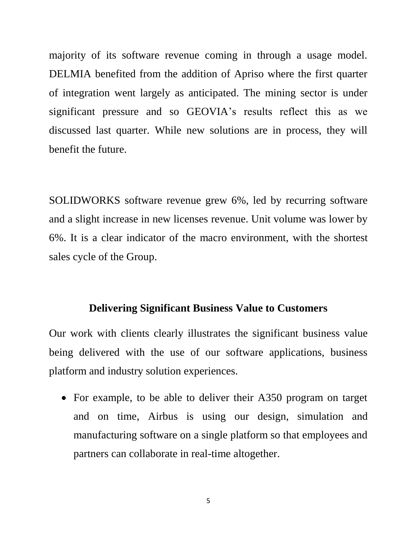majority of its software revenue coming in through a usage model. DELMIA benefited from the addition of Apriso where the first quarter of integration went largely as anticipated. The mining sector is under significant pressure and so GEOVIA's results reflect this as we discussed last quarter. While new solutions are in process, they will benefit the future.

SOLIDWORKS software revenue grew 6%, led by recurring software and a slight increase in new licenses revenue. Unit volume was lower by 6%. It is a clear indicator of the macro environment, with the shortest sales cycle of the Group.

#### **Delivering Significant Business Value to Customers**

Our work with clients clearly illustrates the significant business value being delivered with the use of our software applications, business platform and industry solution experiences.

• For example, to be able to deliver their A350 program on target and on time, Airbus is using our design, simulation and manufacturing software on a single platform so that employees and partners can collaborate in real-time altogether.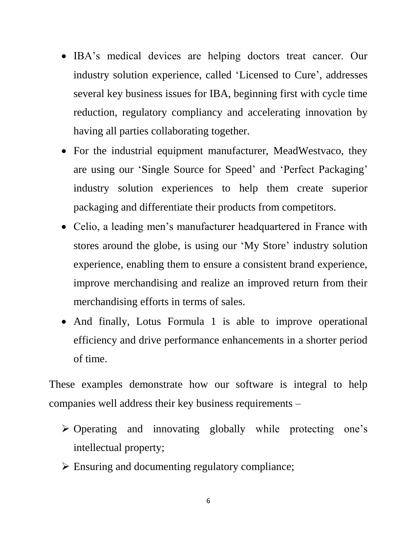- IBA's medical devices are helping doctors treat cancer. Our industry solution experience, called 'Licensed to Cure', addresses several key business issues for IBA, beginning first with cycle time reduction, regulatory compliancy and accelerating innovation by having all parties collaborating together.
- For the industrial equipment manufacturer, MeadWestvaco, they are using our 'Single Source for Speed' and 'Perfect Packaging' industry solution experiences to help them create superior packaging and differentiate their products from competitors.
- Celio, a leading men's manufacturer headquartered in France with stores around the globe, is using our 'My Store' industry solution experience, enabling them to ensure a consistent brand experience, improve merchandising and realize an improved return from their merchandising efforts in terms of sales.
- And finally, Lotus Formula 1 is able to improve operational efficiency and drive performance enhancements in a shorter period of time.

These examples demonstrate how our software is integral to help companies well address their key business requirements –

- Operating and innovating globally while protecting one's intellectual property;
- $\triangleright$  Ensuring and documenting regulatory compliance;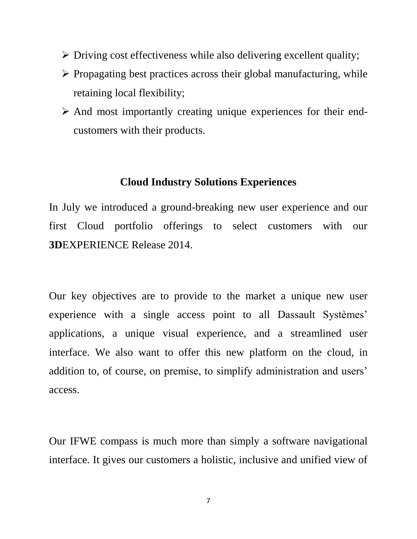- $\triangleright$  Driving cost effectiveness while also delivering excellent quality;
- $\triangleright$  Propagating best practices across their global manufacturing, while retaining local flexibility;
- $\triangleright$  And most importantly creating unique experiences for their endcustomers with their products.

#### **Cloud Industry Solutions Experiences**

In July we introduced a ground-breaking new user experience and our first Cloud portfolio offerings to select customers with our **3D**EXPERIENCE Release 2014.

Our key objectives are to provide to the market a unique new user experience with a single access point to all Dassault Systèmes' applications, a unique visual experience, and a streamlined user interface. We also want to offer this new platform on the cloud, in addition to, of course, on premise, to simplify administration and users' access.

Our IFWE compass is much more than simply a software navigational interface. It gives our customers a holistic, inclusive and unified view of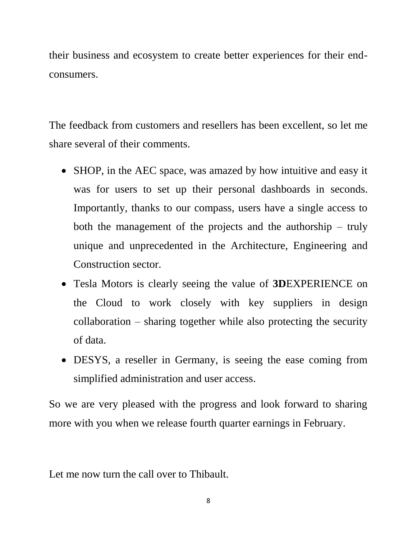their business and ecosystem to create better experiences for their endconsumers.

The feedback from customers and resellers has been excellent, so let me share several of their comments.

- SHOP, in the AEC space, was amazed by how intuitive and easy it was for users to set up their personal dashboards in seconds. Importantly, thanks to our compass, users have a single access to both the management of the projects and the authorship – truly unique and unprecedented in the Architecture, Engineering and Construction sector.
- Tesla Motors is clearly seeing the value of **3D**EXPERIENCE on the Cloud to work closely with key suppliers in design collaboration – sharing together while also protecting the security of data.
- DESYS, a reseller in Germany, is seeing the ease coming from simplified administration and user access.

So we are very pleased with the progress and look forward to sharing more with you when we release fourth quarter earnings in February.

Let me now turn the call over to Thibault.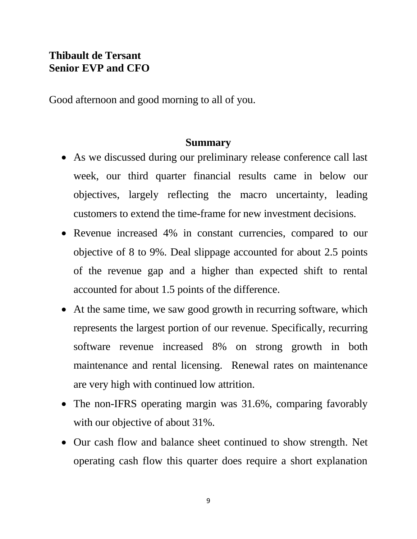# **Thibault de Tersant Senior EVP and CFO**

Good afternoon and good morning to all of you.

#### **Summary**

- As we discussed during our preliminary release conference call last week, our third quarter financial results came in below our objectives, largely reflecting the macro uncertainty, leading customers to extend the time-frame for new investment decisions.
- Revenue increased 4% in constant currencies, compared to our objective of 8 to 9%. Deal slippage accounted for about 2.5 points of the revenue gap and a higher than expected shift to rental accounted for about 1.5 points of the difference.
- At the same time, we saw good growth in recurring software, which represents the largest portion of our revenue. Specifically, recurring software revenue increased 8% on strong growth in both maintenance and rental licensing. Renewal rates on maintenance are very high with continued low attrition.
- The non-IFRS operating margin was 31.6%, comparing favorably with our objective of about 31%.
- Our cash flow and balance sheet continued to show strength. Net operating cash flow this quarter does require a short explanation

9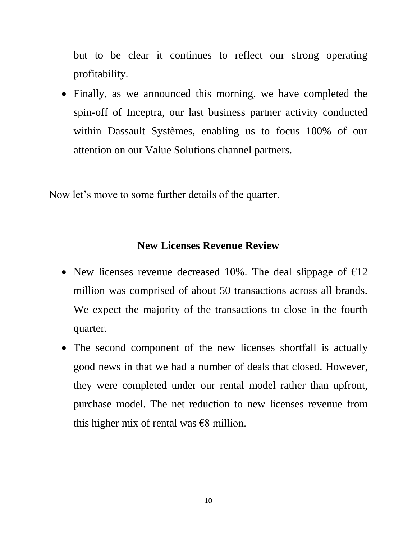but to be clear it continues to reflect our strong operating profitability.

• Finally, as we announced this morning, we have completed the spin-off of Inceptra, our last business partner activity conducted within Dassault Systèmes, enabling us to focus 100% of our attention on our Value Solutions channel partners.

Now let's move to some further details of the quarter.

#### **New Licenses Revenue Review**

- New licenses revenue decreased 10%. The deal slippage of  $\epsilon$ 12 million was comprised of about 50 transactions across all brands. We expect the majority of the transactions to close in the fourth quarter.
- The second component of the new licenses shortfall is actually good news in that we had a number of deals that closed. However, they were completed under our rental model rather than upfront, purchase model. The net reduction to new licenses revenue from this higher mix of rental was  $\epsilon$ 8 million.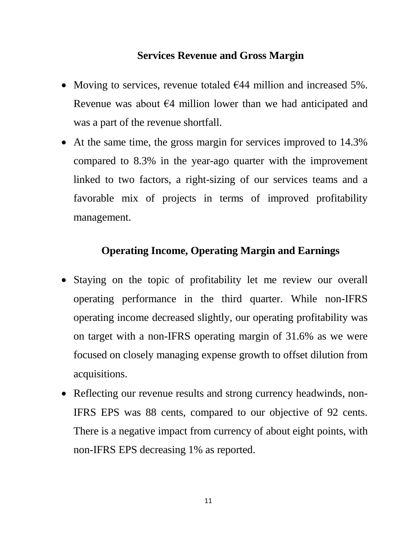## **Services Revenue and Gross Margin**

- Moving to services, revenue totaled  $644$  million and increased 5%. Revenue was about  $\epsilon$ 4 million lower than we had anticipated and was a part of the revenue shortfall.
- At the same time, the gross margin for services improved to 14.3% compared to 8.3% in the year-ago quarter with the improvement linked to two factors, a right-sizing of our services teams and a favorable mix of projects in terms of improved profitability management.

# **Operating Income, Operating Margin and Earnings**

- Staying on the topic of profitability let me review our overall operating performance in the third quarter. While non-IFRS operating income decreased slightly, our operating profitability was on target with a non-IFRS operating margin of 31.6% as we were focused on closely managing expense growth to offset dilution from acquisitions.
- Reflecting our revenue results and strong currency headwinds, non-IFRS EPS was 88 cents, compared to our objective of 92 cents. There is a negative impact from currency of about eight points, with non-IFRS EPS decreasing 1% as reported.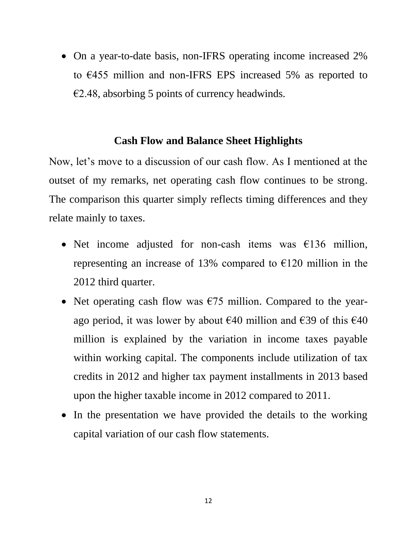On a year-to-date basis, non-IFRS operating income increased 2% to €455 million and non-IFRS EPS increased 5% as reported to  $E$ 2.48, absorbing 5 points of currency headwinds.

#### **Cash Flow and Balance Sheet Highlights**

Now, let's move to a discussion of our cash flow. As I mentioned at the outset of my remarks, net operating cash flow continues to be strong. The comparison this quarter simply reflects timing differences and they relate mainly to taxes.

- Net income adjusted for non-cash items was  $\epsilon$ 136 million, representing an increase of 13% compared to  $E$ 120 million in the 2012 third quarter.
- Net operating cash flow was  $\epsilon$ 75 million. Compared to the yearago period, it was lower by about  $\epsilon$ 40 million and  $\epsilon$ 39 of this  $\epsilon$ 40 million is explained by the variation in income taxes payable within working capital. The components include utilization of tax credits in 2012 and higher tax payment installments in 2013 based upon the higher taxable income in 2012 compared to 2011.
- In the presentation we have provided the details to the working capital variation of our cash flow statements.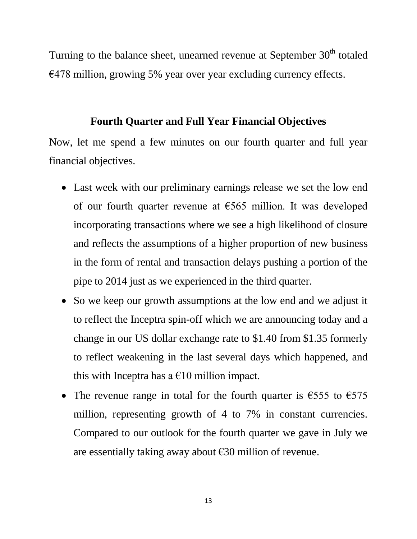Turning to the balance sheet, unearned revenue at September  $30<sup>th</sup>$  totaled €478 million, growing 5% year over year excluding currency effects.

### **Fourth Quarter and Full Year Financial Objectives**

Now, let me spend a few minutes on our fourth quarter and full year financial objectives.

- Last week with our preliminary earnings release we set the low end of our fourth quarter revenue at €565 million. It was developed incorporating transactions where we see a high likelihood of closure and reflects the assumptions of a higher proportion of new business in the form of rental and transaction delays pushing a portion of the pipe to 2014 just as we experienced in the third quarter.
- So we keep our growth assumptions at the low end and we adjust it to reflect the Inceptra spin-off which we are announcing today and a change in our US dollar exchange rate to \$1.40 from \$1.35 formerly to reflect weakening in the last several days which happened, and this with Inceptra has a  $\epsilon$ 10 million impact.
- The revenue range in total for the fourth quarter is  $\epsilon$ 555 to  $\epsilon$ 575 million, representing growth of 4 to 7% in constant currencies. Compared to our outlook for the fourth quarter we gave in July we are essentially taking away about €30 million of revenue.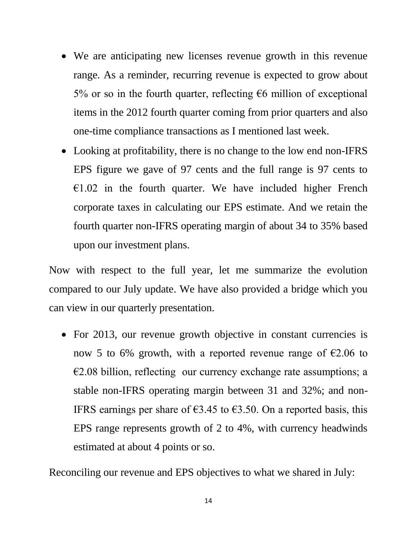- We are anticipating new licenses revenue growth in this revenue range. As a reminder, recurring revenue is expected to grow about 5% or so in the fourth quarter, reflecting  $\epsilon$ 6 million of exceptional items in the 2012 fourth quarter coming from prior quarters and also one-time compliance transactions as I mentioned last week.
- Looking at profitability, there is no change to the low end non-IFRS EPS figure we gave of 97 cents and the full range is 97 cents to  $E1.02$  in the fourth quarter. We have included higher French corporate taxes in calculating our EPS estimate. And we retain the fourth quarter non-IFRS operating margin of about 34 to 35% based upon our investment plans.

Now with respect to the full year, let me summarize the evolution compared to our July update. We have also provided a bridge which you can view in our quarterly presentation.

• For 2013, our revenue growth objective in constant currencies is now 5 to 6% growth, with a reported revenue range of  $\epsilon$ 2.06 to  $\epsilon$ 2.08 billion, reflecting our currency exchange rate assumptions; a stable non-IFRS operating margin between 31 and 32%; and non-IFRS earnings per share of  $63.45$  to  $63.50$ . On a reported basis, this EPS range represents growth of 2 to 4%, with currency headwinds estimated at about 4 points or so.

Reconciling our revenue and EPS objectives to what we shared in July: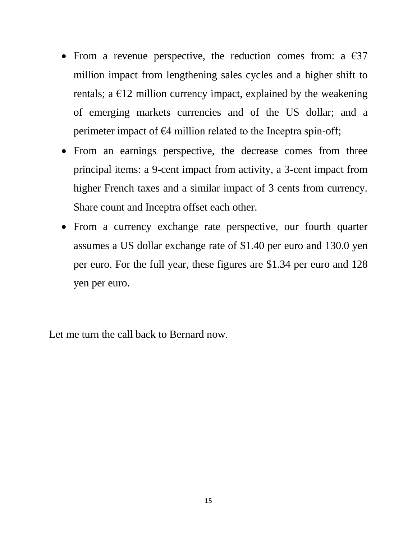- From a revenue perspective, the reduction comes from: a  $\epsilon$ 37 million impact from lengthening sales cycles and a higher shift to rentals; a  $E12$  million currency impact, explained by the weakening of emerging markets currencies and of the US dollar; and a perimeter impact of  $\epsilon$ 4 million related to the Inceptra spin-off;
- From an earnings perspective, the decrease comes from three principal items: a 9-cent impact from activity, a 3-cent impact from higher French taxes and a similar impact of 3 cents from currency. Share count and Inceptra offset each other.
- From a currency exchange rate perspective, our fourth quarter assumes a US dollar exchange rate of \$1.40 per euro and 130.0 yen per euro. For the full year, these figures are \$1.34 per euro and 128 yen per euro.

Let me turn the call back to Bernard now.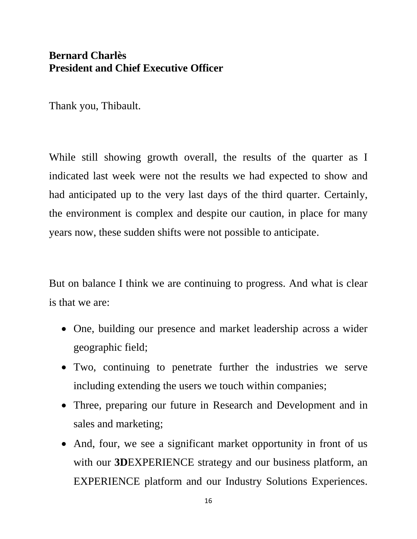# **Bernard Charlès President and Chief Executive Officer**

Thank you, Thibault.

While still showing growth overall, the results of the quarter as I indicated last week were not the results we had expected to show and had anticipated up to the very last days of the third quarter. Certainly, the environment is complex and despite our caution, in place for many years now, these sudden shifts were not possible to anticipate.

But on balance I think we are continuing to progress. And what is clear is that we are:

- One, building our presence and market leadership across a wider geographic field;
- Two, continuing to penetrate further the industries we serve including extending the users we touch within companies;
- Three, preparing our future in Research and Development and in sales and marketing;
- And, four, we see a significant market opportunity in front of us with our **3D**EXPERIENCE strategy and our business platform, an EXPERIENCE platform and our Industry Solutions Experiences.